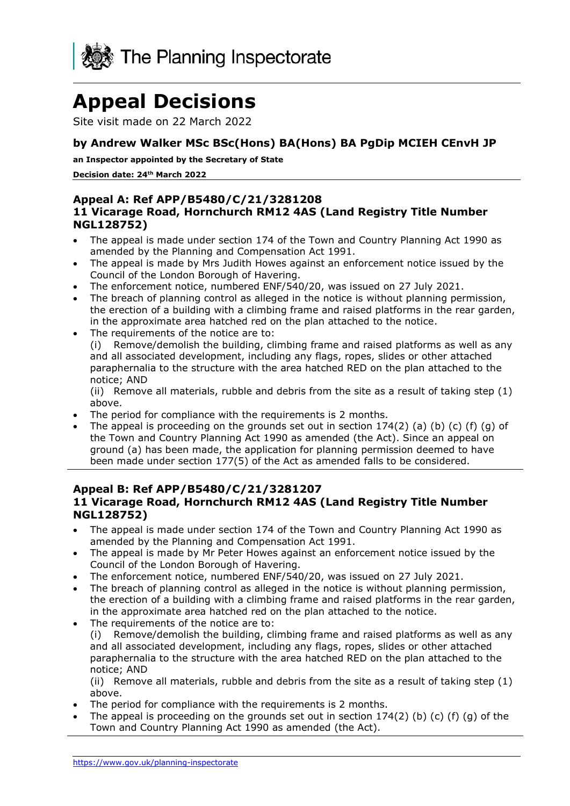

# **Appeal Decisions**

Site visit made on 22 March 2022

#### **by Andrew Walker MSc BSc(Hons) BA(Hons) BA PgDip MCIEH CEnvH JP**

 **an Inspector appointed by the Secretary of State** 

**Decision date: 24th March 2022** 

#### **11 Vicarage Road, Hornchurch RM12 4AS (Land Registry Title Number Appeal A: Ref APP/B5480/C/21/3281208 NGL128752)**

- The appeal is made under section 174 of the Town and Country Planning Act 1990 as amended by the Planning and Compensation Act 1991.
- The appeal is made by Mrs Judith Howes against an enforcement notice issued by the Council of the London Borough of Havering.
- The enforcement notice, numbered ENF/540/20, was issued on 27 July 2021.
- in the approximate area hatched red on the plan attached to the notice. • The breach of planning control as alleged in the notice is without planning permission, the erection of a building with a climbing frame and raised platforms in the rear garden,
- The requirements of the notice are to:

(i) Remove/demolish the building, climbing frame and raised platforms as well as any and all associated development, including any flags, ropes, slides or other attached paraphernalia to the structure with the area hatched RED on the plan attached to the notice; AND

(ii) Remove all materials, rubble and debris from the site as a result of taking step (1) above.

- The period for compliance with the requirements is 2 months.
- The appeal is proceeding on the grounds set out in section  $174(2)$  (a) (b) (c) (f) (g) of the Town and Country Planning Act 1990 as amended (the Act). Since an appeal on ground (a) has been made, the application for planning permission deemed to have been made under section 177(5) of the Act as amended falls to be considered.

#### **11 Vicarage Road, Hornchurch RM12 4AS (Land Registry Title Number Appeal B: Ref APP/B5480/C/21/3281207 NGL128752)**

- The appeal is made under section 174 of the Town and Country Planning Act 1990 as amended by the Planning and Compensation Act 1991.
- The appeal is made by Mr Peter Howes against an enforcement notice issued by the Council of the London Borough of Havering.
- The enforcement notice, numbered ENF/540/20, was issued on 27 July 2021.
- in the approximate area hatched red on the plan attached to the notice. The breach of planning control as alleged in the notice is without planning permission, the erection of a building with a climbing frame and raised platforms in the rear garden,
- The requirements of the notice are to:

(i) Remove/demolish the building, climbing frame and raised platforms as well as any and all associated development, including any flags, ropes, slides or other attached paraphernalia to the structure with the area hatched RED on the plan attached to the notice; AND

(ii) Remove all materials, rubble and debris from the site as a result of taking step (1) above.

- The period for compliance with the requirements is 2 months.
- The appeal is proceeding on the grounds set out in section  $174(2)$  (b) (c) (f) (g) of the Town and Country Planning Act 1990 as amended (the Act).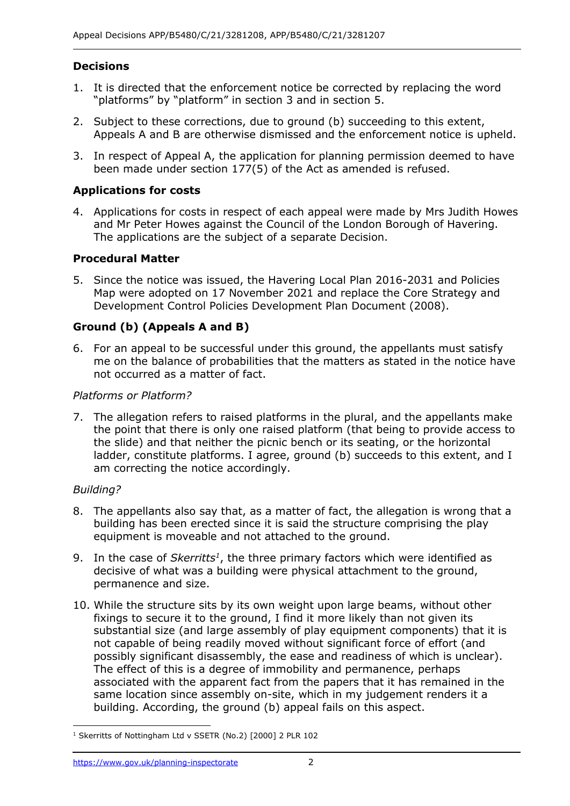## **Decisions**

- 1. It is directed that the enforcement notice be corrected by replacing the word "platforms" by "platform" in section 3 and in section 5.
- 2. Subject to these corrections, due to ground (b) succeeding to this extent, Appeals A and B are otherwise dismissed and the enforcement notice is upheld.
- 3. In respect of Appeal A, the application for planning permission deemed to have been made under section 177(5) of the Act as amended is refused.

## **Applications for costs**

 4. Applications for costs in respect of each appeal were made by Mrs Judith Howes and Mr Peter Howes against the Council of the London Borough of Havering. The applications are the subject of a separate Decision.

## **Procedural Matter**

 Map were adopted on 17 November 2021 and replace the Core Strategy and 5. Since the notice was issued, the Havering Local Plan 2016-2031 and Policies Development Control Policies Development Plan Document (2008).

## **Ground (b) (Appeals A and B)**

 6. For an appeal to be successful under this ground, the appellants must satisfy not occurred as a matter of fact. me on the balance of probabilities that the matters as stated in the notice have

#### *Platforms or Platform?*

 7. The allegation refers to raised platforms in the plural, and the appellants make the slide) and that neither the picnic bench or its seating, or the horizontal am correcting the notice accordingly. the point that there is only one raised platform (that being to provide access to ladder, constitute platforms. I agree, ground (b) succeeds to this extent, and I

## *Building?*

- 8. The appellants also say that, as a matter of fact, the allegation is wrong that a building has been erected since it is said the structure comprising the play equipment is moveable and not attached to the ground.
- 9. In the case of *Skerritts<sup>1</sup>*, the three primary factors which were identified as decisive of what was a building were physical attachment to the ground, permanence and size.
- 10. While the structure sits by its own weight upon large beams, without other fixings to secure it to the ground, I find it more likely than not given its substantial size (and large assembly of play equipment components) that it is not capable of being readily moved without significant force of effort (and The effect of this is a degree of immobility and permanence, perhaps possibly significant disassembly, the ease and readiness of which is unclear). associated with the apparent fact from the papers that it has remained in the same location since assembly on-site, which in my judgement renders it a building. According, the ground (b) appeal fails on this aspect.

 $1$  Skerritts of Nottingham Ltd v SSETR (No.2) [2000] 2 PLR 102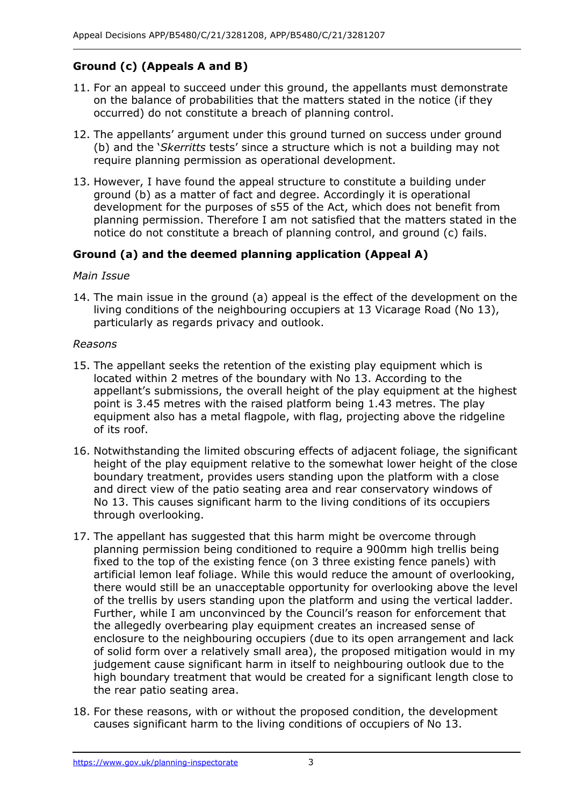# **Ground (c) (Appeals A and B)**

- on the balance of probabilities that the matters stated in the notice (if they occurred) do not constitute a breach of planning control. 11. For an appeal to succeed under this ground, the appellants must demonstrate
- 12. The appellants' argument under this ground turned on success under ground (b) and the '*Skerritts* tests' since a structure which is not a building may not require planning permission as operational development.
- 13. However, I have found the appeal structure to constitute a building under ground (b) as a matter of fact and degree. Accordingly it is operational planning permission. Therefore I am not satisfied that the matters stated in the notice do not constitute a breach of planning control, and ground (c) fails. development for the purposes of s55 of the Act, which does not benefit from

## **Ground (a) and the deemed planning application (Appeal A)**

#### *Main Issue*

 living conditions of the neighbouring occupiers at 13 Vicarage Road (No 13), particularly as regards privacy and outlook. 14. The main issue in the ground (a) appeal is the effect of the development on the

#### *Reasons*

- 15. The appellant seeks the retention of the existing play equipment which is located within 2 metres of the boundary with No 13. According to the point is 3.45 metres with the raised platform being 1.43 metres. The play equipment also has a metal flagpole, with flag, projecting above the ridgeline appellant's submissions, the overall height of the play equipment at the highest of its roof.
- boundary treatment, provides users standing upon the platform with a close and direct view of the patio seating area and rear conservatory windows of 16. Notwithstanding the limited obscuring effects of adjacent foliage, the significant height of the play equipment relative to the somewhat lower height of the close No 13. This causes significant harm to the living conditions of its occupiers through overlooking.
- 17. The appellant has suggested that this harm might be overcome through planning permission being conditioned to require a 900mm high trellis being fixed to the top of the existing fence (on 3 three existing fence panels) with of the trellis by users standing upon the platform and using the vertical ladder. Further, while I am unconvinced by the Council's reason for enforcement that enclosure to the neighbouring occupiers (due to its open arrangement and lack of solid form over a relatively small area), the proposed mitigation would in my judgement cause significant harm in itself to neighbouring outlook due to the high boundary treatment that would be created for a significant length close to artificial lemon leaf foliage. While this would reduce the amount of overlooking, there would still be an unacceptable opportunity for overlooking above the level the allegedly overbearing play equipment creates an increased sense of the rear patio seating area.
- 18. For these reasons, with or without the proposed condition, the development causes significant harm to the living conditions of occupiers of No 13.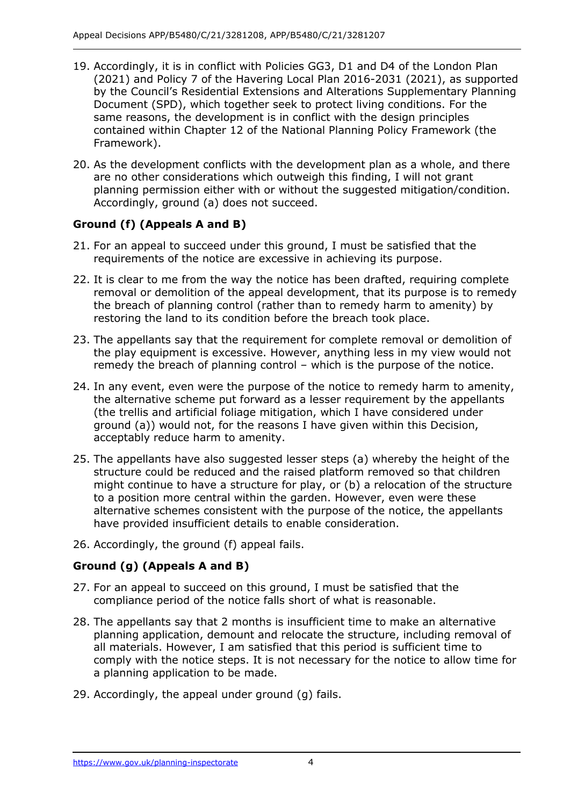- 19. Accordingly, it is in conflict with Policies GG3, D1 and D4 of the London Plan (2021) and Policy 7 of the Havering Local Plan 2016-2031 (2021), as supported by the Council's Residential Extensions and Alterations Supplementary Planning same reasons, the development is in conflict with the design principles contained within Chapter 12 of the National Planning Policy Framework (the Document (SPD), which together seek to protect living conditions. For the Framework).
- 20. As the development conflicts with the development plan as a whole, and there are no other considerations which outweigh this finding, I will not grant planning permission either with or without the suggested mitigation/condition. Accordingly, ground (a) does not succeed.

# **Ground (f) (Appeals A and B)**

- requirements of the notice are excessive in achieving its purpose. 21. For an appeal to succeed under this ground, I must be satisfied that the
- 22. It is clear to me from the way the notice has been drafted, requiring complete the breach of planning control (rather than to remedy harm to amenity) by restoring the land to its condition before the breach took place. removal or demolition of the appeal development, that its purpose is to remedy
- the play equipment is excessive. However, anything less in my view would not remedy the breach of planning control – which is the purpose of the notice. 23. The appellants say that the requirement for complete removal or demolition of
- 24. In any event, even were the purpose of the notice to remedy harm to amenity, the alternative scheme put forward as a lesser requirement by the appellants ground (a)) would not, for the reasons I have given within this Decision, (the trellis and artificial foliage mitigation, which I have considered under acceptably reduce harm to amenity.
- might continue to have a structure for play, or (b) a relocation of the structure 25. The appellants have also suggested lesser steps (a) whereby the height of the structure could be reduced and the raised platform removed so that children to a position more central within the garden. However, even were these alternative schemes consistent with the purpose of the notice, the appellants have provided insufficient details to enable consideration.
- 26. Accordingly, the ground (f) appeal fails.

## **Ground (g) (Appeals A and B)**

- 27. For an appeal to succeed on this ground, I must be satisfied that the compliance period of the notice falls short of what is reasonable.
- 28. The appellants say that 2 months is insufficient time to make an alternative planning application, demount and relocate the structure, including removal of all materials. However, I am satisfied that this period is sufficient time to comply with the notice steps. It is not necessary for the notice to allow time for a planning application to be made.
- 29. Accordingly, the appeal under ground (g) fails.